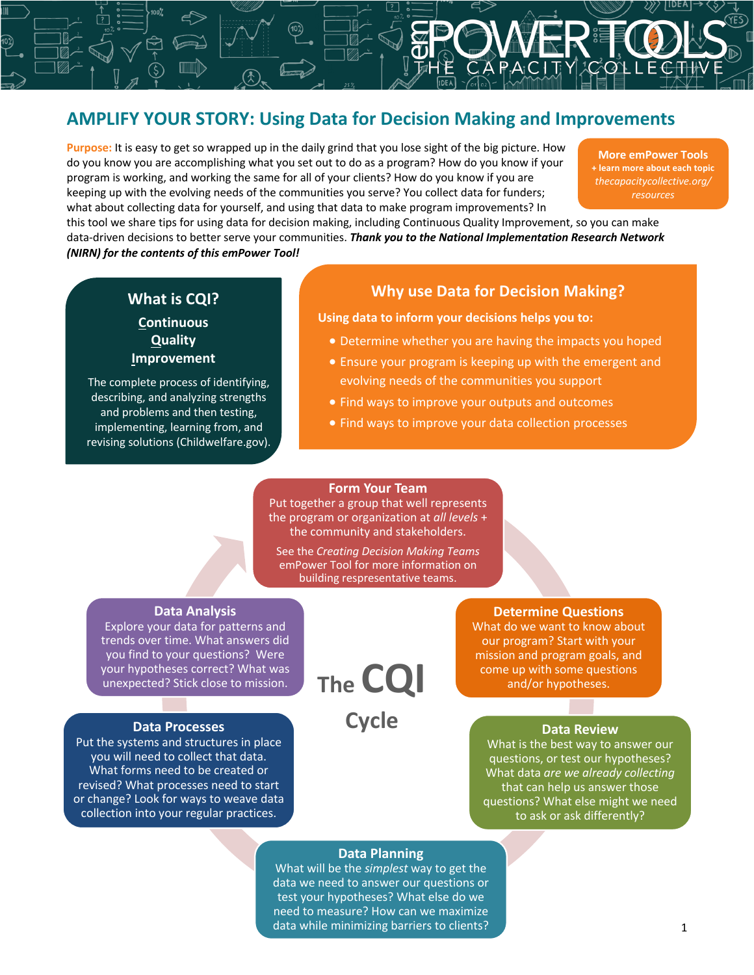## **AMPLIFY YOUR STORY: Using Data for Decision Making and Improvements**

**Purpose:** It is easy to get so wrapped up in the daily grind that you lose sight of the big picture. How do you know you are accomplishing what you set out to do as a program? How do you know if your program is working, and working the same for all of your clients? How do you know if you are keeping up with the evolving needs of the communities you serve? You collect data for funders; what about collecting data for yourself, and using that data to make program improvements? In

**More emPower Tools + learn more about each topic** *thecapacitycollective.org/ resources*

this tool we share tips for using data for decision making, including Continuous Quality Improvement, so you can make data-driven decisions to better serve your communities. *Thank you to the National Implementation Research Network (NIRN) for the contents of this emPower Tool!*

## **What is CQI? Continuous Quality Improvement**

The complete process of identifying, describing, and analyzing strengths and problems and then testing, implementing, learning from, and revising solutions (Childwelfare.gov).

## **Why use Data for Decision Making?**

**Using data to inform your decisions helps you to:**

- Determine whether you are having the impacts you hoped
- Ensure your program is keeping up with the emergent and evolving needs of the communities you support
- Find ways to improve your outputs and outcomes
- Find ways to improve your data collection processes

### **Form Your Team**

Put together a group that well represents the program or organization at *all levels* + the community and stakeholders.

See the *Creating Decision Making Teams* emPower Tool for more information on building respresentative teams.

#### **Data Analysis**

Explore your data for patterns and trends over time. What answers did you find to your questions? Were your hypotheses correct? What was your hypotheses correct? What was<br>unexpected? Stick close to mission. **The CQI** 

#### **Data Processes**

Put the systems and structures in place you will need to collect that data. What forms need to be created or revised? What processes need to start or change? Look for ways to weave data collection into your regular practices.

**Cycle**

#### **Determine Questions**

What do we want to know about our program? Start with your mission and program goals, and come up with some questions and/or hypotheses.

#### **Data Review**

What is the best way to answer our questions, or test our hypotheses? What data *are we already collecting*  that can help us answer those questions? What else might we need to ask or ask differently?

### **Data Planning**

What will be the *simplest* way to get the data we need to answer our questions or test your hypotheses? What else do we need to measure? How can we maximize data while minimizing barriers to clients?